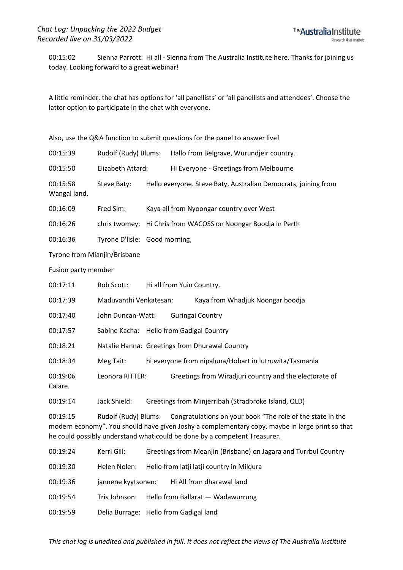00:15:02 Sienna Parrott: Hi all - Sienna from The Australia Institute here. Thanks for joining us today. Looking forward to a great webinar!

A little reminder, the chat has options for 'all panellists' or 'all panellists and attendees'. Choose the latter option to participate in the chat with everyone.

Also, use the Q&A function to submit questions for the panel to answer live!

| 00:15:39                 | Rudolf (Rudy) Blums: | Hallo from Belgrave, Wurundjeir country.                       |
|--------------------------|----------------------|----------------------------------------------------------------|
| 00:15:50                 | Elizabeth Attard:    | Hi Everyone - Greetings from Melbourne                         |
| 00:15:58<br>Wangal land. | Steve Baty:          | Hello everyone. Steve Baty, Australian Democrats, joining from |

00:16:09 Fred Sim: Kaya all from Nyoongar country over West

00:16:26 chris twomey: Hi Chris from WACOSS on Noongar Boodja in Perth

00:16:36 Tyrone D'lisle: Good morning,

Tyrone from Mianjin/Brisbane

Fusion party member

| 00:17:11            | Bob Scott:                               | Hi all from Yuin Country. |                                                                                                                                                                                                                                                                 |
|---------------------|------------------------------------------|---------------------------|-----------------------------------------------------------------------------------------------------------------------------------------------------------------------------------------------------------------------------------------------------------------|
| 00:17:39            | Maduvanthi Venkatesan:                   |                           | Kaya from Whadjuk Noongar boodja                                                                                                                                                                                                                                |
| 00:17:40            | John Duncan-Watt:                        |                           | Guringai Country                                                                                                                                                                                                                                                |
| 00:17:57            | Sabine Kacha: Hello from Gadigal Country |                           |                                                                                                                                                                                                                                                                 |
| 00:18:21            |                                          |                           | Natalie Hanna: Greetings from Dhurawal Country                                                                                                                                                                                                                  |
| 00:18:34            | Meg Tait:                                |                           | hi everyone from nipaluna/Hobart in lutruwita/Tasmania                                                                                                                                                                                                          |
| 00:19:06<br>Calare. | Leonora RITTER:                          |                           | Greetings from Wiradjuri country and the electorate of                                                                                                                                                                                                          |
| 00:19:14            | Jack Shield:                             |                           | Greetings from Minjerribah (Stradbroke Island, QLD)                                                                                                                                                                                                             |
| 00:19:15            |                                          |                           | Rudolf (Rudy) Blums: Congratulations on your book "The role of the state in the<br>modern economy". You should have given Joshy a complementary copy, maybe in large print so that<br>he could possibly understand what could be done by a competent Treasurer. |

| 00:19:24 | Kerri Gill:        | Greetings from Meanjin (Brisbane) on Jagara and Turrbul Country |
|----------|--------------------|-----------------------------------------------------------------|
| 00:19:30 | Helen Nolen:       | Hello from latji latji country in Mildura                       |
| 00:19:36 | jannene kyytsonen: | Hi All from dharawal land                                       |
| 00:19:54 | Tris Johnson:      | Hello from Ballarat — Wadawurrung                               |
| 00:19:59 |                    | Delia Burrage: Hello from Gadigal land                          |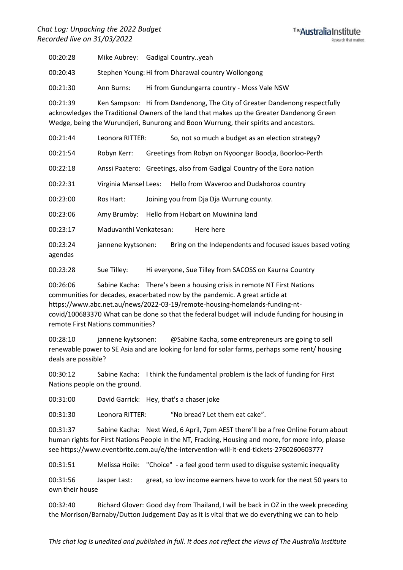## *Chat Log: Unpacking the 2022 Budget Recorded live on 31/03/2022*



00:20:28 Mike Aubrey: Gadigal Country..yeah

00:20:43 Stephen Young:Hi from Dharawal country Wollongong

00:21:30 Ann Burns: Hi from Gundungarra country - Moss Vale NSW

00:21:39 Ken Sampson: Hi from Dandenong, The City of Greater Dandenong respectfully acknowledges the Traditional Owners of the land that makes up the Greater Dandenong Green Wedge, being the Wurundjeri, Bunurong and Boon Wurrung, their spirits and ancestors.

00:21:44 Leonora RITTER: So, not so much a budget as an election strategy?

00:21:54 Robyn Kerr: Greetings from Robyn on Nyoongar Boodja, Boorloo-Perth

00:22:18 Anssi Paatero: Greetings, also from Gadigal Country of the Eora nation

00:22:31 Virginia Mansel Lees: Hello from Waveroo and Dudahoroa country

00:23:00 Ros Hart: Joining you from Dja Dja Wurrung county.

00:23:06 Amy Brumby: Hello from Hobart on Muwinina land

00:23:17 Maduvanthi Venkatesan: Here here

00:23:24 jannene kyytsonen: Bring on the Independents and focused issues based voting agendas

00:23:28 Sue Tilley: Hi everyone, Sue Tilley from SACOSS on Kaurna Country

00:26:06 Sabine Kacha: There's been a housing crisis in remote NT First Nations communities for decades, exacerbated now by the pandemic. A great article at https://www.abc.net.au/news/2022-03-19/remote-housing-homelands-funding-ntcovid/100683370 What can be done so that the federal budget will include funding for housing in remote First Nations communities?

00:28:10 jannene kyytsonen: @Sabine Kacha, some entrepreneurs are going to sell renewable power to SE Asia and are looking for land for solar farms, perhaps some rent/ housing deals are possible?

00:30:12 Sabine Kacha: I think the fundamental problem is the lack of funding for First Nations people on the ground.

00:31:00 David Garrick: Hey, that's a chaser joke

00:31:30 Leonora RITTER: "No bread? Let them eat cake".

00:31:37 Sabine Kacha: Next Wed, 6 April, 7pm AEST there'll be a free Online Forum about human rights for First Nations People in the NT, Fracking, Housing and more, for more info, please see https://www.eventbrite.com.au/e/the-intervention-will-it-end-tickets-276026060377?

00:31:51 Melissa Hoile: "Choice" - a feel good term used to disguise systemic inequality

00:31:56 Jasper Last: great, so low income earners have to work for the next 50 years to own their house

00:32:40 Richard Glover: Good day from Thailand, I will be back in OZ in the week preceding the Morrison/Barnaby/Dutton Judgement Day as it is vital that we do everything we can to help

*This chat log is unedited and published in full. It does not reflect the views of The Australia Institute*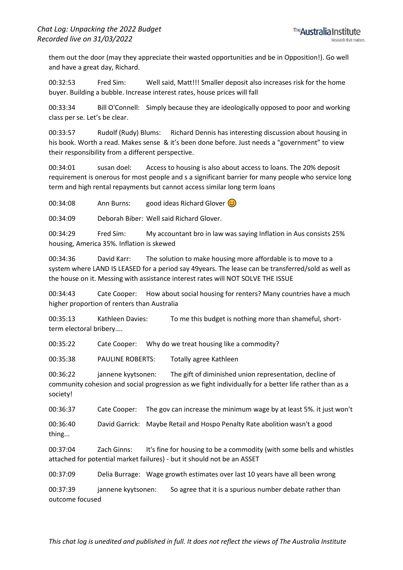them out the door (may they appreciate their wasted opportunities and be in Opposition!). Go well and have a great day, Richard.

00:32:53 Fred Sim: Well said, Matt!!! Smaller deposit also increases risk for the home buyer. Building a bubble. Increase interest rates, house prices will fall

00:33:34 Bill O'Connell: Simply because they are ideologically opposed to poor and working class per se. Let's be clear.

00:33:57 Rudolf (Rudy) Blums: Richard Dennis has interesting discussion about housing in his book. Worth a read. Makes sense & it's been done before. Just needs a "government" to view their responsibility from a different perspective.

00:34:01 susan doel: Access to housing is also about access to loans. The 20% deposit requirement is onerous for most people and s a significant barrier for many people who service long term and high rental repayments but cannot access similar long term loans

00:34:08 Ann Burns: good ideas Richard Glover  $\odot$ 

00:34:09 Deborah Biber: Well said Richard Glover.

00:34:29 Fred Sim: My accountant bro in law was saying Inflation in Aus consists 25% housing, America 35%. Inflation is skewed

00:34:36 David Karr: The solution to make housing more affordable is to move to a system where LAND IS LEASED for a period say 49years. The lease can be transferred/sold as well as the house on it. Messing with assistance interest rates will NOT SOLVE THE ISSUE

00:34:43 Cate Cooper: How about social housing for renters? Many countries have a much higher proportion of renters than Australia

00:35:13 Kathleen Davies: To me this budget is nothing more than shameful, shortterm electoral bribery....

00:35:22 Cate Cooper: Why do we treat housing like a commodity?

00:35:38 PAULINE ROBERTS: Totally agree Kathleen

00:36:22 jannene kyytsonen: The gift of diminished union representation, decline of community cohesion and social progression as we fight individually for a better life rather than as a society!

00:36:37 Cate Cooper: The gov can increase the minimum wage by at least 5%. it just won't

00:36:40 David Garrick: Maybe Retail and Hospo Penalty Rate abolition wasn't a good thing...

00:37:04 Zach Ginns: It's fine for housing to be a commodity (with some bells and whistles attached for potential market failures) - but it should not be an ASSET

00:37:09 Delia Burrage: Wage growth estimates over last 10 years have all been wrong

00:37:39 jannene kyytsonen: So agree that it is a spurious number debate rather than outcome focused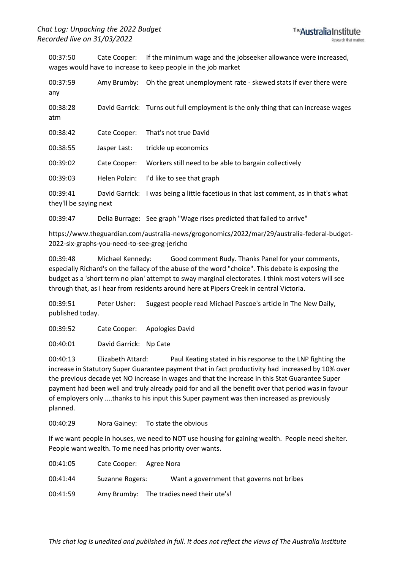00:37:50 Cate Cooper: If the minimum wage and the jobseeker allowance were increased, wages would have to increase to keep people in the job market

| 00:37:59<br>any                    | Amy Brumby:   | Oh the great unemployment rate - skewed stats if ever there were                      |
|------------------------------------|---------------|---------------------------------------------------------------------------------------|
| 00:38:28<br>atm                    |               | David Garrick: Turns out full employment is the only thing that can increase wages    |
| 00:38:42                           | Cate Cooper:  | That's not true David                                                                 |
| 00:38:55                           | Jasper Last:  | trickle up economics                                                                  |
| 00:39:02                           | Cate Cooper:  | Workers still need to be able to bargain collectively                                 |
| 00:39:03                           | Helen Polzin: | I'd like to see that graph                                                            |
| 00:39:41<br>they'll be saying next |               | David Garrick: I was being a little facetious in that last comment, as in that's what |

00:39:47 Delia Burrage: See graph "Wage rises predicted that failed to arrive"

https://www.theguardian.com/australia-news/grogonomics/2022/mar/29/australia-federal-budget-2022-six-graphs-you-need-to-see-greg-jericho

00:39:48 Michael Kennedy: Good comment Rudy. Thanks Panel for your comments, especially Richard's on the fallacy of the abuse of the word "choice". This debate is exposing the budget as a 'short term no plan' attempt to sway marginal electorates. I think most voters will see through that, as I hear from residents around here at Pipers Creek in central Victoria.

00:39:51 Peter Usher: Suggest people read Michael Pascoe's article in The New Daily, published today.

00:39:52 Cate Cooper: Apologies David

00:40:01 David Garrick: Np Cate

00:40:13 Elizabeth Attard: Paul Keating stated in his response to the LNP fighting the increase in Statutory Super Guarantee payment that in fact productivity had increased by 10% over the previous decade yet NO increase in wages and that the increase in this Stat Guarantee Super payment had been well and truly already paid for and all the benefit over that period was in favour of employers only ....thanks to his input this Super payment was then increased as previously planned.

00:40:29 Nora Gainey: To state the obvious

If we want people in houses, we need to NOT use housing for gaining wealth. People need shelter. People want wealth. To me need has priority over wants.

| 00:41:05 | Cate Cooper: Agree Nora |                                           |
|----------|-------------------------|-------------------------------------------|
| 00:41:44 | Suzanne Rogers:         | Want a government that governs not bribes |
| 00:41:59 |                         | Amy Brumby: The tradies need their ute's! |

*This chat log is unedited and published in full. It does not reflect the views of The Australia Institute*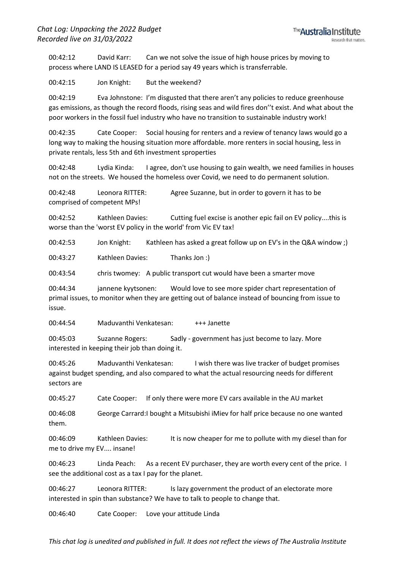00:42:12 David Karr: Can we not solve the issue of high house prices by moving to process where LAND IS LEASED for a period say 49 years which is transferrable.

00:42:15 Jon Knight: But the weekend?

00:42:19 Eva Johnstone: I'm disgusted that there aren't any policies to reduce greenhouse gas emissions, as though the record floods, rising seas and wild fires don''t exist. And what about the poor workers in the fossil fuel industry who have no transition to sustainable industry work!

00:42:35 Cate Cooper: Social housing for renters and a review of tenancy laws would go a long way to making the housing situation more affordable. more renters in social housing, less in private rentals, less 5th and 6th investment sproperties

00:42:48 Lydia Kinda: I agree, don't use housing to gain wealth, we need families in houses not on the streets. We housed the homeless over Covid, we need to do permanent solution.

00:42:48 Leonora RITTER: Agree Suzanne, but in order to govern it has to be comprised of competent MPs!

00:42:52 Kathleen Davies: Cutting fuel excise is another epic fail on EV policy....this is worse than the 'worst EV policy in the world' from Vic EV tax!

00:42:53 Jon Knight: Kathleen has asked a great follow up on EV's in the Q&A window ;)

00:43:27 Kathleen Davies: Thanks Jon :)

00:43:54 chris twomey: A public transport cut would have been a smarter move

00:44:34 jannene kyytsonen: Would love to see more spider chart representation of primal issues, to monitor when they are getting out of balance instead of bouncing from issue to issue.

00:44:54 Maduvanthi Venkatesan: +++ Janette

00:45:03 Suzanne Rogers: Sadly - government has just become to lazy. More interested in keeping their job than doing it.

00:45:26 Maduvanthi Venkatesan: I wish there was live tracker of budget promises against budget spending, and also compared to what the actual resourcing needs for different sectors are

00:45:27 Cate Cooper: If only there were more EV cars available in the AU market

00:46:08 George Carrard:I bought a Mitsubishi iMiev for half price because no one wanted them.

00:46:09 Kathleen Davies: It is now cheaper for me to pollute with my diesel than for me to drive my EV.... insane!

00:46:23 Linda Peach: As a recent EV purchaser, they are worth every cent of the price. I see the additional cost as a tax I pay for the planet.

00:46:27 Leonora RITTER: Is lazy government the product of an electorate more interested in spin than substance? We have to talk to people to change that.

00:46:40 Cate Cooper: Love your attitude Linda

*This chat log is unedited and published in full. It does not reflect the views of The Australia Institute*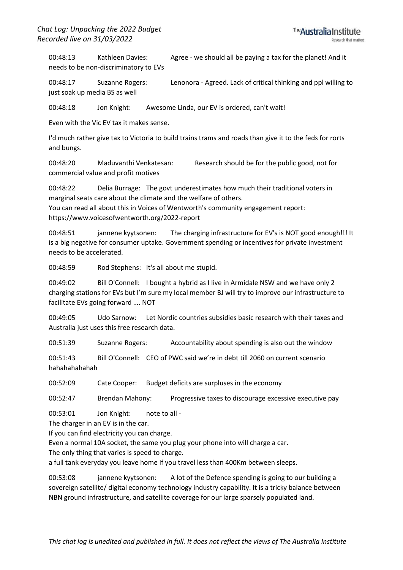00:48:13 Kathleen Davies: Agree - we should all be paying a tax for the planet! And it needs to be non-discriminatory to EVs

00:48:17 Suzanne Rogers: Lenonora - Agreed. Lack of critical thinking and ppl willing to just soak up media BS as well

00:48:18 Jon Knight: Awesome Linda, our EV is ordered, can't wait!

Even with the Vic EV tax it makes sense.

I'd much rather give tax to Victoria to build trains trams and roads than give it to the feds for rorts and bungs.

00:48:20 Maduvanthi Venkatesan: Research should be for the public good, not for commercial value and profit motives

00:48:22 Delia Burrage: The govt underestimates how much their traditional voters in marginal seats care about the climate and the welfare of others.

You can read all about this in Voices of Wentworth's community engagement report: https://www.voicesofwentworth.org/2022-report

00:48:51 jannene kyytsonen: The charging infrastructure for EV's is NOT good enough!!! It is a big negative for consumer uptake. Government spending or incentives for private investment needs to be accelerated.

00:48:59 Rod Stephens: It's all about me stupid.

00:49:02 Bill O'Connell: I bought a hybrid as I live in Armidale NSW and we have only 2 charging stations for EVs but I'm sure my local member BJ will try to improve our infrastructure to facilitate EVs going forward …. NOT

00:49:05 Udo Sarnow: Let Nordic countries subsidies basic research with their taxes and Australia just uses this free research data.

00:51:39 Suzanne Rogers: Accountability about spending is also out the window

00:51:43 Bill O'Connell: CEO of PWC said we're in debt till 2060 on current scenario hahahahahahah

00:52:09 Cate Cooper: Budget deficits are surpluses in the economy

00:52:47 Brendan Mahony: Progressive taxes to discourage excessive executive pay

00:53:01 Jon Knight: note to all -

The charger in an EV is in the car.

If you can find electricity you can charge.

Even a normal 10A socket, the same you plug your phone into will charge a car.

The only thing that varies is speed to charge.

a full tank everyday you leave home if you travel less than 400Km between sleeps.

00:53:08 jannene kyytsonen: A lot of the Defence spending is going to our building a sovereign satellite/ digital economy technology industry capability. It is a tricky balance between NBN ground infrastructure, and satellite coverage for our large sparsely populated land.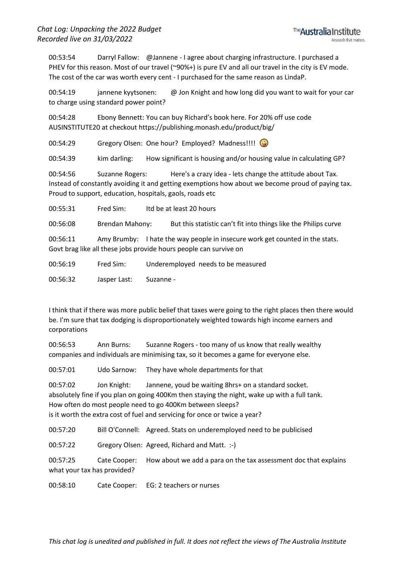00:53:54 Darryl Fallow: @Jannene - I agree about charging infrastructure. I purchased a PHEV for this reason. Most of our travel (~90%+) is pure EV and all our travel in the city is EV mode. The cost of the car was worth every cent - I purchased for the same reason as LindaP.

00:54:19 jannene kyytsonen: @ Jon Knight and how long did you want to wait for your car to charge using standard power point?

00:54:28 Ebony Bennett: You can buy Richard's book here. For 20% off use code AUSINSTITUTE20 at checkout https://publishing.monash.edu/product/big/

00:54:29 Gregory Olsen: One hour? Employed? Madness!!!!

00:54:39 kim darling: How significant is housing and/or housing value in calculating GP?

00:54:56 Suzanne Rogers: Here's a crazy idea - lets change the attitude about Tax. Instead of constantly avoiding it and getting exemptions how about we become proud of paying tax. Proud to support, education, hospitals, gaols, roads etc

00:55:31 Fred Sim: Itd be at least 20 hours

00:56:08 Brendan Mahony: But this statistic can't fit into things like the Philips curve

00:56:11 Amy Brumby: I hate the way people in insecure work get counted in the stats. Govt brag like all these jobs provide hours people can survive on

00:56:19 Fred Sim: Underemployed needs to be measured

00:56:32 Jasper Last: Suzanne -

I think that if there was more public belief that taxes were going to the right places then there would be. I'm sure that tax dodging is disproportionately weighted towards high income earners and corporations

00:56:53 Ann Burns: Suzanne Rogers - too many of us know that really wealthy companies and individuals are minimising tax, so it becomes a game for everyone else.

00:57:01 Udo Sarnow: They have whole departments for that

00:57:02 Jon Knight: Jannene, youd be waiting 8hrs+ on a standard socket. absolutely fine if you plan on going 400Km then staying the night, wake up with a full tank. How often do most people need to go 400Km between sleeps? is it worth the extra cost of fuel and servicing for once or twice a year?

00:57:20 Bill O'Connell: Agreed. Stats on underemployed need to be publicised

00:57:22 Gregory Olsen: Agreed, Richard and Matt. :-)

00:57:25 Cate Cooper: How about we add a para on the tax assessment doc that explains what your tax has provided?

00:58:10 Cate Cooper: EG: 2 teachers or nurses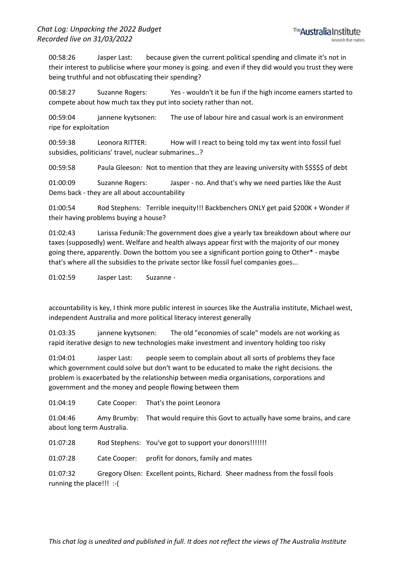00:58:26 Jasper Last: because given the current political spending and climate it's not in their interest to publicise where your money is going. and even if they did would you trust they were being truthful and not obfuscating their spending?

00:58:27 Suzanne Rogers: Yes - wouldn't it be fun if the high income earners started to compete about how much tax they put into society rather than not.

00:59:04 jannene kyytsonen: The use of labour hire and casual work is an environment ripe for exploitation

00:59:38 Leonora RITTER: How will I react to being told my tax went into fossil fuel subsidies, politicians' travel, nuclear submarines…?

00:59:58 Paula Gleeson: Not to mention that they are leaving university with \$\$\$\$\$ of debt

01:00:09 Suzanne Rogers: Jasper - no. And that's why we need parties like the Aust Dems back - they are all about accountability

01:00:54 Rod Stephens: Terrible inequity!!! Backbenchers ONLY get paid \$200K + Wonder if their having problems buying a house?

01:02:43 Larissa Fedunik:The government does give a yearly tax breakdown about where our taxes (supposedly) went. Welfare and health always appear first with the majority of our money going there, apparently. Down the bottom you see a significant portion going to Other\* - maybe that's where all the subsidies to the private sector like fossil fuel companies goes...

01:02:59 Jasper Last: Suzanne -

accountability is key, I think more public interest in sources like the Australia institute, Michael west, independent Australia and more political literacy interest generally

01:03:35 jannene kyytsonen: The old "economies of scale" models are not working as rapid iterative design to new technologies make investment and inventory holding too risky

01:04:01 Jasper Last: people seem to complain about all sorts of problems they face which government could solve but don't want to be educated to make the right decisions. the problem is exacerbated by the relationship between media organisations, corporations and government and the money and people flowing between them

01:04:19 Cate Cooper: That's the point Leonora

01:04:46 Amy Brumby: That would require this Govt to actually have some brains, and care about long term Australia.

01:07:28 Rod Stephens: You've got to support your donors!!!!!!!

01:07:28 Cate Cooper: profit for donors, family and mates

01:07:32 Gregory Olsen: Excellent points, Richard. Sheer madness from the fossil fools running the place!!! :-(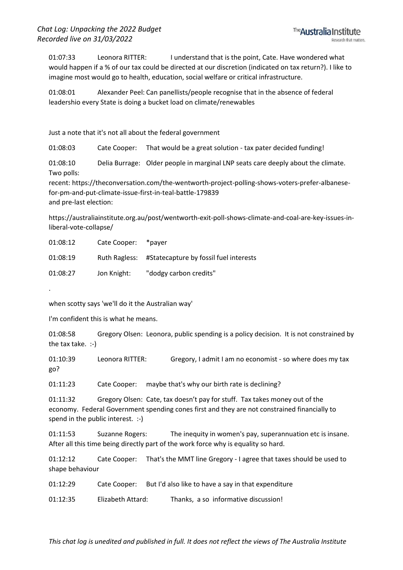01:07:33 Leonora RITTER: I understand that is the point, Cate. Have wondered what would happen if a % of our tax could be directed at our discretion (indicated on tax return?). I like to imagine most would go to health, education, social welfare or critical infrastructure.

01:08:01 Alexander Peel: Can panellists/people recognise that in the absence of federal leadershio every State is doing a bucket load on climate/renewables

Just a note that it's not all about the federal government

01:08:03 Cate Cooper: That would be a great solution - tax pater decided funding!

01:08:10 Delia Burrage: Older people in marginal LNP seats care deeply about the climate. Two polls:

recent: https://theconversation.com/the-wentworth-project-polling-shows-voters-prefer-albanesefor-pm-and-put-climate-issue-first-in-teal-battle-179839 and pre-last election:

https://australiainstitute.org.au/post/wentworth-exit-poll-shows-climate-and-coal-are-key-issues-inliberal-vote-collapse/

| 01:08:12 | Cate Cooper:  | *paver                                 |
|----------|---------------|----------------------------------------|
| 01:08:19 | Ruth Ragless: | #Statecapture by fossil fuel interests |
| 01:08:27 | Jon Knight:   | "dodgy carbon credits"                 |

when scotty says 'we'll do it the Australian way'

I'm confident this is what he means.

.

01:08:58 Gregory Olsen: Leonora, public spending is a policy decision. It is not constrained by the tax take. :-)

01:10:39 Leonora RITTER: Gregory, I admit I am no economist - so where does my tax go?

01:11:23 Cate Cooper: maybe that's why our birth rate is declining?

01:11:32 Gregory Olsen: Cate, tax doesn't pay for stuff. Tax takes money out of the economy. Federal Government spending cones first and they are not constrained financially to spend in the public interest. :-)

01:11:53 Suzanne Rogers: The inequity in women's pay, superannuation etc is insane. After all this time being directly part of the work force why is equality so hard.

01:12:12 Cate Cooper: That's the MMT line Gregory - I agree that taxes should be used to shape behaviour

01:12:29 Cate Cooper: But I'd also like to have a say in that expenditure

01:12:35 Elizabeth Attard: Thanks, a so informative discussion!